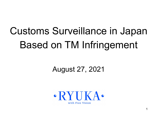# Customs Surveillance in Japan Based on TM Infringement

## August 27, 2021

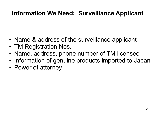#### **Information We Need: Surveillance Applicant**

- Name & address of the surveillance applicant
- TM Registration Nos.
- Name, address, phone number of TM licensee
- Information of genuine products imported to Japan
- Power of attorney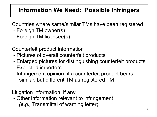### **Information We Need: Possible Infringers**

Countries where same/similar TMs have been registered

- Foreign TM owner(s)
- Foreign TM licensee(s)

Counterfeit product information

- Pictures of overall counterfeit products
- Enlarged pictures for distinguishing counterfeit products
- Expected importers
- Infringement opinion, if a counterfeit product bears similar, but different TM as registered TM

Litigation information, if any

 - Other information relevant to infringement *(e.g.,* Transmittal of warning letter)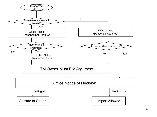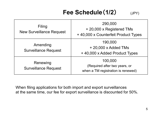### **Fee Schedule (1/2)** (JPY)

| Filing<br><b>New Surveillance Request</b> | 290,000<br>+ 20,000 x Registered TMs<br>+40,000 x Counterfeit Product Types    |
|-------------------------------------------|--------------------------------------------------------------------------------|
| Amending<br><b>Surveillance Request</b>   | 190,000<br>$+20,000 \times$ Added TMs<br>+40,000 x Added Product Types         |
| Renewing<br><b>Surveillance Request</b>   | 100,000<br>(Required after two years, or<br>when a TM registration is renewed) |

When filing applications for both import and export surveillances at the same time, our fee for export surveillance is discounted for 50%.